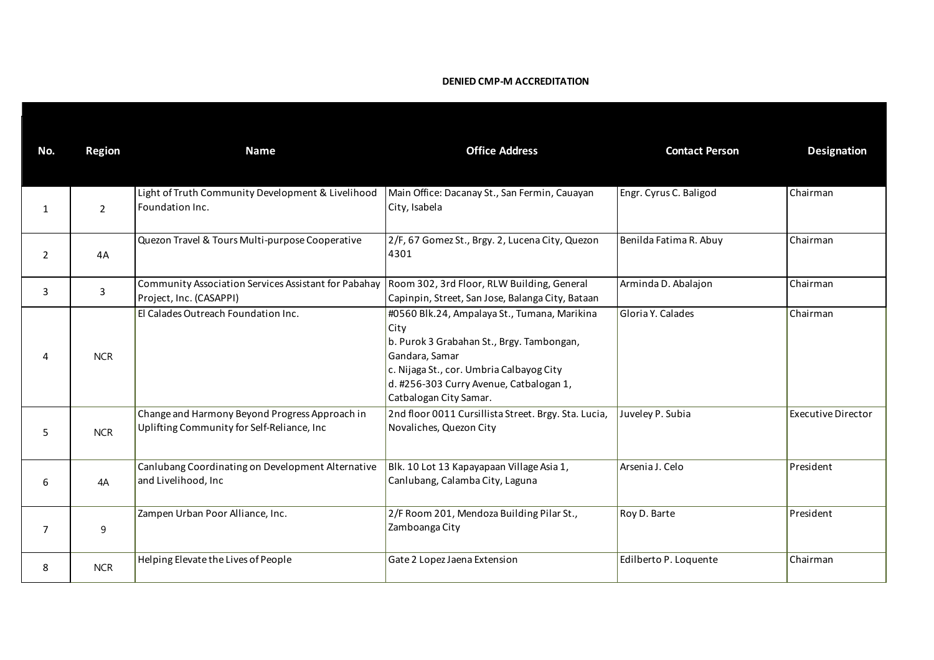## **DENIED CMP-M ACCREDITATION**

| No.            | <b>Region</b>  | <b>Name</b>                                                                                  | <b>Office Address</b>                                                                                                                                                                                                                | <b>Contact Person</b>  | <b>Designation</b>        |
|----------------|----------------|----------------------------------------------------------------------------------------------|--------------------------------------------------------------------------------------------------------------------------------------------------------------------------------------------------------------------------------------|------------------------|---------------------------|
| $\mathbf{1}$   | $\overline{2}$ | Light of Truth Community Development & Livelihood<br>Foundation Inc.                         | Main Office: Dacanay St., San Fermin, Cauayan<br>City, Isabela                                                                                                                                                                       | Engr. Cyrus C. Baligod | Chairman                  |
| $\overline{2}$ | 4A             | Quezon Travel & Tours Multi-purpose Cooperative                                              | 2/F, 67 Gomez St., Brgy. 2, Lucena City, Quezon<br>4301                                                                                                                                                                              | Benilda Fatima R. Abuy | Chairman                  |
| 3              | 3              | Community Association Services Assistant for Pabahay<br>Project, Inc. (CASAPPI)              | Room 302, 3rd Floor, RLW Building, General<br>Capinpin, Street, San Jose, Balanga City, Bataan                                                                                                                                       | Arminda D. Abalajon    | Chairman                  |
|                | <b>NCR</b>     | El Calades Outreach Foundation Inc.                                                          | #0560 Blk.24, Ampalaya St., Tumana, Marikina<br>City<br>b. Purok 3 Grabahan St., Brgy. Tambongan,<br>Gandara, Samar<br>c. Nijaga St., cor. Umbria Calbayog City<br>d. #256-303 Curry Avenue, Catbalogan 1,<br>Catbalogan City Samar. | Gloria Y. Calades      | Chairman                  |
| 5              | <b>NCR</b>     | Change and Harmony Beyond Progress Approach in<br>Uplifting Community for Self-Reliance, Inc | 2nd floor 0011 Cursillista Street. Brgy. Sta. Lucia,<br>Novaliches, Quezon City                                                                                                                                                      | Juveley P. Subia       | <b>Executive Director</b> |
| 6              | 4A             | Canlubang Coordinating on Development Alternative<br>and Livelihood, Inc                     | Blk. 10 Lot 13 Kapayapaan Village Asia 1,<br>Canlubang, Calamba City, Laguna                                                                                                                                                         | Arsenia J. Celo        | President                 |
| $\overline{7}$ | 9              | Zampen Urban Poor Alliance, Inc.                                                             | 2/F Room 201, Mendoza Building Pilar St.,<br>Zamboanga City                                                                                                                                                                          | Roy D. Barte           | President                 |
| 8              | <b>NCR</b>     | Helping Elevate the Lives of People                                                          | Gate 2 Lopez Jaena Extension                                                                                                                                                                                                         | Edilberto P. Loquente  | Chairman                  |